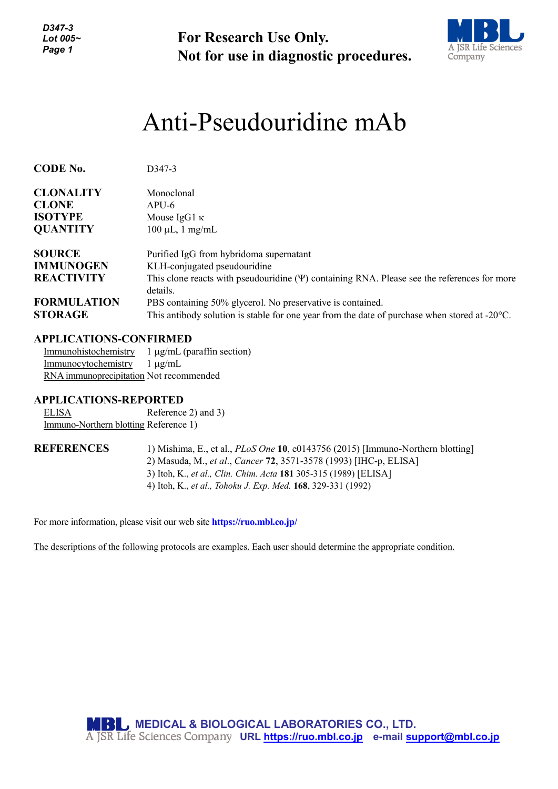*D347-3 Lot 005~ Page 1*

**For Research Use Only. Not for use in diagnostic procedures.**



# Anti-Pseudouridine mAb

| <b>CODE No.</b>                      | D <sub>347</sub> -3                                                                                                                                                   |
|--------------------------------------|-----------------------------------------------------------------------------------------------------------------------------------------------------------------------|
| <b>CLONALITY</b><br><b>CLONE</b>     | Monoclonal<br>$APU-6$                                                                                                                                                 |
| <b>ISOTYPE</b>                       | Mouse $IgG1 \kappa$                                                                                                                                                   |
| <b>QUANTITY</b>                      | $100 \mu L$ , 1 mg/mL                                                                                                                                                 |
| <b>SOURCE</b>                        | Purified IgG from hybridoma supernatant                                                                                                                               |
| <b>IMMUNOGEN</b>                     | KLH-conjugated pseudouridine                                                                                                                                          |
| <b>REACTIVITY</b>                    | This clone reacts with pseudouridine $(\Psi)$ containing RNA. Please see the references for more<br>details.                                                          |
| <b>FORMULATION</b><br><b>STORAGE</b> | PBS containing 50% glycerol. No preservative is contained.<br>This antibody solution is stable for one year from the date of purchase when stored at $-20^{\circ}$ C. |

# **APPLICATIONS-CONFIRMED**

Immunohistochemistry 1 µg/mL (paraffin section) Immunocytochemistry 1 µg/mL RNA immunoprecipitation Not recommended

### **APPLICATIONS-REPORTED**

ELISA Reference 2) and 3) Immuno-Northern blotting Reference 1)

**REFERENCES** 1) Mishima, E., et al., *PLoS One* **10**, e0143756 (2015) [Immuno-Northern blotting] 2) Masuda, M., *et al*., *Cancer* **72**, 3571-3578 (1993) [IHC-p, ELISA] 3) Itoh, K., *et al., Clin. Chim. Acta* **181** 305-315 (1989) [ELISA] 4) Itoh, K., *et al., Tohoku J. Exp. Med.* **168**, 329-331 (1992)

For more information, please visit our web site **https://ruo.mbl.co.jp/**

The descriptions of the following protocols are examples. Each user should determine the appropriate condition.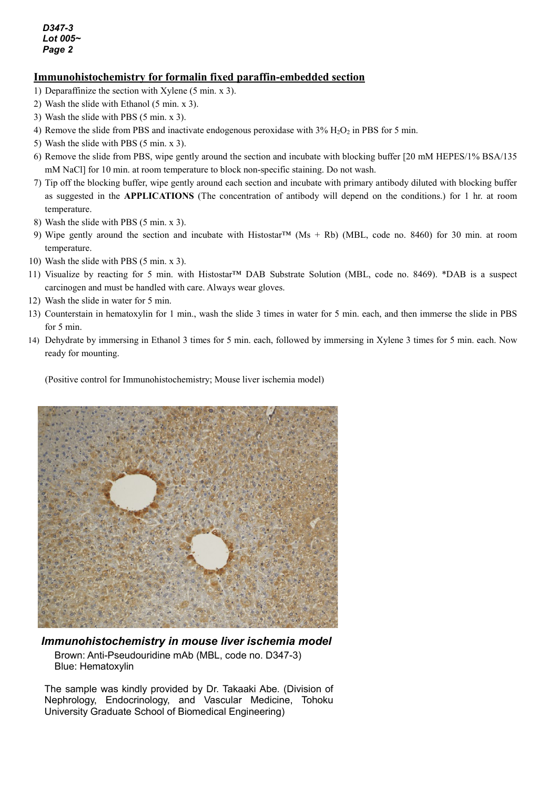### **Immunohistochemistry for formalin fixed paraffin-embedded section**

- 1) Deparaffinize the section with Xylene (5 min. x 3).
- 2) Wash the slide with Ethanol (5 min. x 3).
- 3) Wash the slide with PBS (5 min. x 3).
- 4) Remove the slide from PBS and inactivate endogenous peroxidase with  $3\%$  H<sub>2</sub>O<sub>2</sub> in PBS for 5 min.
- 5) Wash the slide with PBS (5 min. x 3).
- 6) Remove the slide from PBS, wipe gently around the section and incubate with blocking buffer [20 mM HEPES/1% BSA/135 mM NaCl] for 10 min. at room temperature to block non-specific staining. Do not wash.
- 7) Tip off the blocking buffer, wipe gently around each section and incubate with primary antibody diluted with blocking buffer as suggested in the **APPLICATIONS** (The concentration of antibody will depend on the conditions.) for 1 hr. at room temperature.
- 8) Wash the slide with PBS (5 min. x 3).
- 9) Wipe gently around the section and incubate with Histostar<sup>TM</sup> (Ms + Rb) (MBL, code no. 8460) for 30 min. at room temperature.
- 10) Wash the slide with PBS (5 min. x 3).
- 11) Visualize by reacting for 5 min. with Histostar™ DAB Substrate Solution (MBL, code no. 8469). \*DAB is a suspect carcinogen and must be handled with care. Always wear gloves.
- 12) Wash the slide in water for 5 min.
- 13) Counterstain in hematoxylin for 1 min., wash the slide 3 times in water for 5 min. each, and then immerse the slide in PBS for 5 min.
- 14) Dehydrate by immersing in Ethanol 3 times for 5 min. each, followed by immersing in Xylene 3 times for 5 min. each. Now ready for mounting.

(Positive control for Immunohistochemistry; Mouse liver ischemia model)



#### *Immunohistochemistry in mouse liver ischemia model* Brown: Anti-Pseudouridine mAb (MBL, code no. D347-3) Blue: Hematoxylin

The sample was kindly provided by Dr. Takaaki Abe*.* (Division of Nephrology, Endocrinology, and Vascular Medicine, Tohoku University Graduate School of Biomedical Engineering)